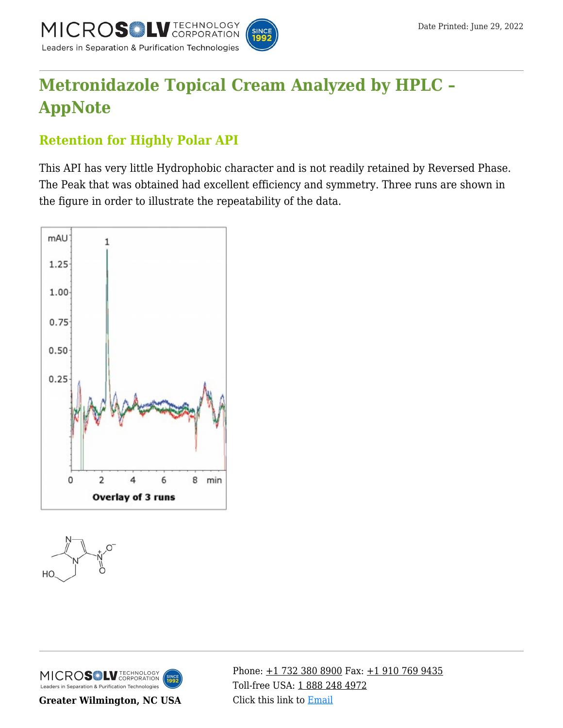

# **[Metronidazole Topical Cream Analyzed by HPLC –](https://kb.mtc-usa.com/article/aa-01804/46/) [AppNote](https://kb.mtc-usa.com/article/aa-01804/46/)**

## **Retention for Highly Polar API**

This API has very little Hydrophobic character and is not readily retained by Reversed Phase. The Peak that was obtained had excellent efficiency and symmetry. Three runs are shown in the figure in order to illustrate the repeatability of the data.







**Greater Wilmington, NC USA**

Phone:  $\pm$ 1 732 380 8900 Fax:  $\pm$ 1 910 769 9435 Toll-free USA: [1 888 248 4972](#page--1-0) Click this link to [Email](https://www.mtc-usa.com/contact)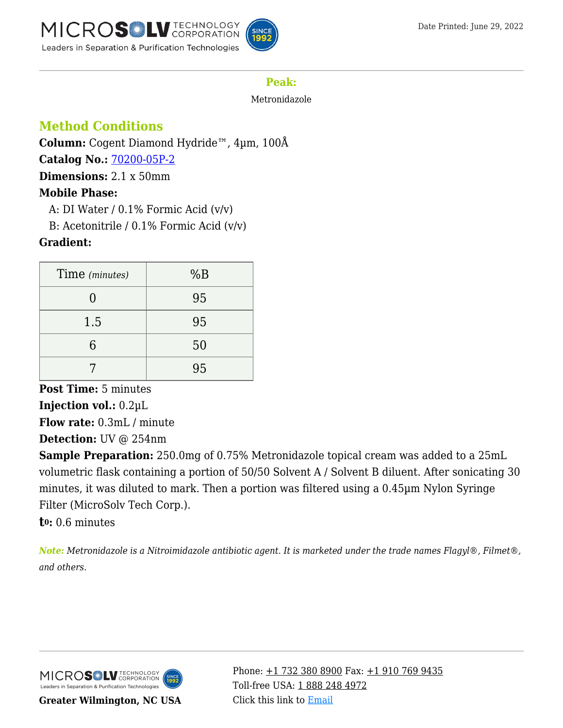

## **Peak:**

Metronidazole

## **Method Conditions**

**Column:** Cogent Diamond Hydride™, 4µm, 100Å **Catalog No.:** [70200-05P-2](https://www.mtc-usa.com/product-details/id/4115855) **Dimensions:** 2.1 x 50mm

## **Mobile Phase:**

A: DI Water  $/$  0.1% Formic Acid  $(v/v)$ 

B: Acetonitrile /  $0.1\%$  Formic Acid (v/v)

### **Gradient:**

| Time (minutes) | %B |
|----------------|----|
|                | 95 |
| 1.5            | 95 |
|                | 50 |
|                | 95 |

**Post Time:** 5 minutes **Injection vol.:** 0.2µL **Flow rate:** 0.3mL / minute **Detection:** UV @ 254nm

**Sample Preparation:** 250.0mg of 0.75% Metronidazole topical cream was added to a 25mL volumetric flask containing a portion of 50/50 Solvent A / Solvent B diluent. After sonicating 30 minutes, it was diluted to mark. Then a portion was filtered using a 0.45µm Nylon Syringe Filter (MicroSolv Tech Corp.).

**t0:** 0.6 minutes

*Note: Metronidazole is a Nitroimidazole antibiotic agent. It is marketed under the trade names Flagyl®, Filmet®, and others.*



**Greater Wilmington, NC USA**

Phone:  $\pm$ 1 732 380 8900 Fax:  $\pm$ 1 910 769 9435 Toll-free USA: [1 888 248 4972](#page--1-0) Click this link to [Email](https://www.mtc-usa.com/contact)